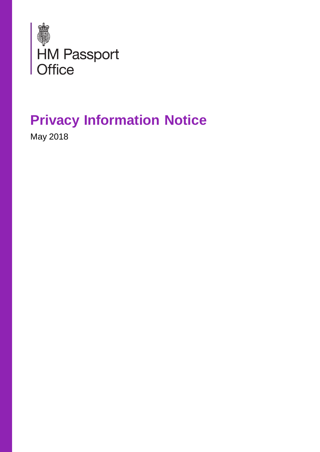

# **[Privacy Information Notice](https://deedpolloffice.com/change-name/who-to-tell/passport/privacy-information-notice)**

May 2018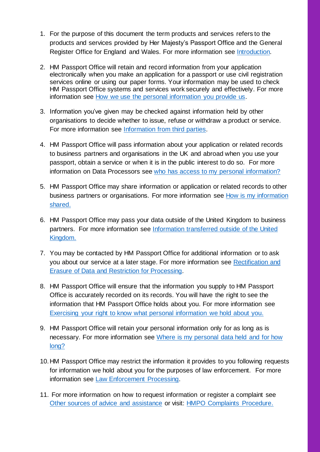- 1. For the purpose of this document the term products and services refers to the products and services provided by Her Majesty's Passport Office and the General Register Office for England and Wales. For more information see [Introduction.](#page-4-0)
- 2. HM Passport Office will retain and record information from your application electronically when you make an application for a passport or use civil registration services online or using our paper forms. Your information may be used to check HM Passport Office systems and services work securely and effectively. For more information see [How we use the personal information you provide us.](#page-5-0)
- 3. Information you've given may be checked against information held by other organisations to decide whether to issue, refuse or withdraw a product or service. For more information see [Information from third parties.](#page-6-0)
- 4. HM Passport Office will pass information about your application or related records to business partners and organisations in the UK and abroad when you use your passport, obtain a service or when it is in the public interest to do so. For more information on Data Processors see [who has access to my personal information?](#page-7-0)
- 5. HM Passport Office may share information or application or related records to other business partners or organisations. For more information see [How is my information](#page-8-0)  [shared.](#page-8-0)
- 6. HM Passport Office may pass your data outside of the United Kingdom to business partners. For more information see [Information transferred outside of the United](#page-9-0)  [Kingdom.](#page-9-0)
- 7. You may be contacted by HM Passport Office for additional information or to ask you about our service at a later stage. For more information see [Rectification and](#page-12-0)  [Erasure of Data and Restriction for Processing.](#page-12-0)
- 8. HM Passport Office will ensure that the information you supply to HM Passport Office is accurately recorded on its records. You will have the right to see the information that HM Passport Office holds about you. For more information see [Exercising your right to know what personal information we hold about you.](#page-13-0)
- 9. HM Passport Office will retain your personal information only for as long as is necessary. For more information see [Where is my personal data held](#page-11-0) and for how [long?](#page-11-0)
- 10.HM Passport Office may restrict the information it provides to you following requests for information we hold about you for the purposes of law enforcement. For more information see [Law Enforcement Processing.](#page-14-0)
- 11. For more information on how to request information or register a complaint see [Other sources of advice and assistance](#page-15-0) or visit: [HMPO Complaints Procedure.](https://www.gov.uk/government/organisations/hm-passport-office/about/complaints-procedure)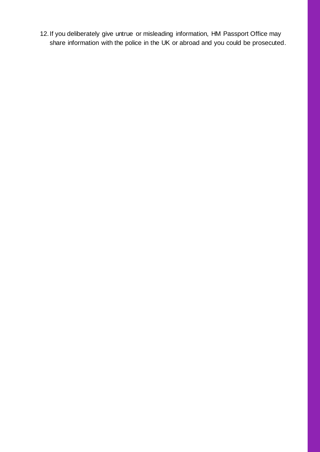12.If you deliberately give untrue or misleading information, HM Passport Office may share information with the police in the UK or abroad and you could be prosecuted.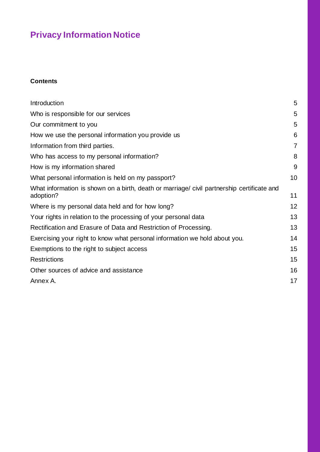## **Privacy Information Notice**

#### **Contents**

| Introduction                                                                                           | 5              |
|--------------------------------------------------------------------------------------------------------|----------------|
| Who is responsible for our services                                                                    | 5              |
| Our commitment to you                                                                                  | 5              |
| How we use the personal information you provide us                                                     | 6              |
| Information from third parties.                                                                        | $\overline{7}$ |
| Who has access to my personal information?                                                             | 8              |
| How is my information shared                                                                           | 9              |
| What personal information is held on my passport?                                                      | 10             |
| What information is shown on a birth, death or marriage/civil partnership certificate and<br>adoption? | 11             |
| Where is my personal data held and for how long?                                                       | 12             |
| Your rights in relation to the processing of your personal data                                        | 13             |
| Rectification and Erasure of Data and Restriction of Processing.                                       | 13             |
| Exercising your right to know what personal information we hold about you.                             | 14             |
| Exemptions to the right to subject access                                                              | 15             |
| <b>Restrictions</b>                                                                                    | 15             |
| Other sources of advice and assistance                                                                 | 16             |
| Annex A.                                                                                               | 17             |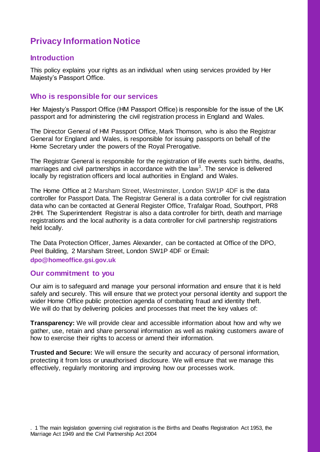## **Privacy Information Notice**

#### <span id="page-4-0"></span>**Introduction**

This policy explains your rights as an individual when using services provided by Her Majesty's Passport Office.

#### <span id="page-4-1"></span>**Who is responsible for our services**

Her Majesty's Passport Office (HM Passport Office) is responsible for the issue of the UK passport and for administering the civil registration process in England and Wales.

The Director General of HM Passport Office, Mark Thomson, who is also the Registrar General for England and Wales, is responsible for issuing passports on behalf of the Home Secretary under the powers of the Royal Prerogative.

The Registrar General is responsible for the registration of life events such births, deaths, marriages and civil partnerships in accordance with the law<sup>1</sup>. The service is delivered locally by registration officers and local authorities in England and Wales.

The Home Office at 2 Marsham Street, Westminster, London SW1P 4DF is the data controller for Passport Data. The Registrar General is a data controller for civil registration data who can be contacted at General Register Office, Trafalgar Road, Southport, PR8 2HH. The Superintendent Registrar is also a data controller for birth, death and marriage registrations and the local authority is a data controller for civil partnership registrations held locally.

The Data Protection Officer, James Alexander, can be contacted at Office of the DPO, Peel Building, 2 Marsham Street, London SW1P 4DF or Email**: dpo@homeoffice.gsi.gov.uk**

#### <span id="page-4-2"></span>**Our commitment to you**

Our aim is to safeguard and manage your personal information and ensure that it is held safely and securely. This will ensure that we protect your personal identity and support the wider Home Office public protection agenda of combating fraud and identity theft. We will do that by delivering policies and processes that meet the key values of:

**Transparency:** We will provide clear and accessible information about how and why we gather, use, retain and share personal information as well as making customers aware of how to exercise their rights to access or amend their information.

**Trusted and Secure:** We will ensure the security and accuracy of personal information, protecting it from loss or unauthorised disclosure. We will ensure that we manage this effectively, regularly monitoring and improving how our processes work.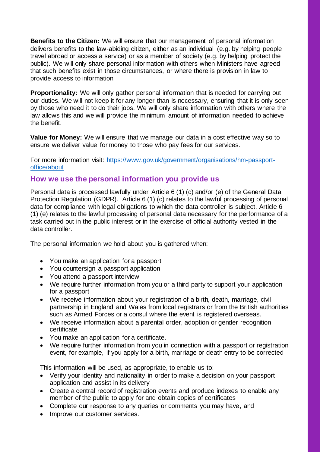**Benefits to the Citizen:** We will ensure that our management of personal information delivers benefits to the law-abiding citizen, either as an individual (e.g. by helping people travel abroad or access a service) or as a member of society (e.g. by helping protect the public). We will only share personal information with others when Ministers have agreed that such benefits exist in those circumstances, or where there is provision in law to provide access to information.

**Proportionality:** We will only gather personal information that is needed for carrying out our duties. We will not keep it for any longer than is necessary, ensuring that it is only seen by those who need it to do their jobs. We will only share information with others where the law allows this and we will provide the minimum amount of information needed to achieve the benefit.

**Value for Money:** We will ensure that we manage our data in a cost effective way so to ensure we deliver value for money to those who pay fees for our services.

For more information visit: [https://www.gov.uk/government/organisations/hm-passport](https://www.gov.uk/government/organisations/hm-passport-office/about)[office/about](https://www.gov.uk/government/organisations/hm-passport-office/about)

#### <span id="page-5-0"></span>**How we use the personal information you provide us**

Personal data is processed lawfully under Article 6 (1) (c) and/or (e) of the General Data Protection Regulation (GDPR). Article 6 (1) (c) relates to the lawful processing of personal data for compliance with legal obligations to which the data controller is subject. Article 6 (1) (e) relates to the lawful processing of personal data necessary for the performance of a task carried out in the public interest or in the exercise of official authority vested in the data controller.

The personal information we hold about you is gathered when:

- You make an application for a passport
- You countersign a passport application
- You attend a passport interview
- We require further information from you or a third party to support your application for a passport
- We receive information about your registration of a birth, death, marriage, civil partnership in England and Wales from local registrars or from the British authorities such as Armed Forces or a consul where the event is registered overseas.
- We receive information about a parental order, adoption or gender recognition certificate
- You make an application for a certificate.
- We require further information from you in connection with a passport or registration event, for example, if you apply for a birth, marriage or death entry to be corrected

This information will be used, as appropriate, to enable us to:

- Verify your identity and nationality in order to make a decision on your passport application and assist in its delivery
- Create a central record of registration events and produce indexes to enable any member of the public to apply for and obtain copies of certificates
- Complete our response to any queries or comments you may have, and
- Improve our customer services.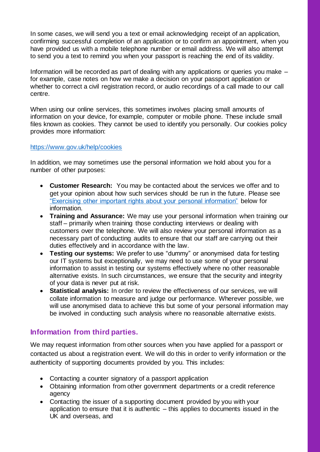In some cases, we will send you a text or email acknowledging receipt of an application, confirming successful completion of an application or to confirm an appointment, when you have provided us with a mobile telephone number or email address. We will also attempt to send you a text to remind you when your passport is reaching the end of its validity.

Information will be recorded as part of dealing with any applications or queries you make – for example, case notes on how we make a decision on your passport application or whether to correct a civil registration record, or audio recordings of a call made to our call centre.

When using our online services, this sometimes involves placing small amounts of information on your device, for example, computer or mobile phone. These include small files known as cookies. They cannot be used to identify you personally. Our cookies policy provides more information:

#### <https://www.gov.uk/help/cookies>

In addition, we may sometimes use the personal information we hold about you for a number of other purposes:

- **Customer Research:** You may be contacted about the services we offer and to get your opinion about how such services should be run in the future. Please see ["Exercising other important rights about your personal information"](#page-13-0) below for information.
- **Training and Assurance:** We may use your personal information when training our staff – primarily when training those conducting interviews or dealing with customers over the telephone. We will also review your personal information as a necessary part of conducting audits to ensure that our staff are carrying out their duties effectively and in accordance with the law.
- **Testing our systems:** We prefer to use "dummy" or anonymised data for testing our IT systems but exceptionally, we may need to use some of your personal information to assist in testing our systems effectively where no other reasonable alternative exists. In such circumstances, we ensure that the security and integrity of your data is never put at risk.
- **Statistical analysis:** In order to review the effectiveness of our services, we will collate information to measure and judge our performance. Wherever possible, we will use anonymised data to achieve this but some of your personal information may be involved in conducting such analysis where no reasonable alternative exists.

#### <span id="page-6-0"></span>**Information from third parties.**

We may request information from other sources when you have applied for a passport or contacted us about a registration event. We will do this in order to verify information or the authenticity of supporting documents provided by you. This includes:

- Contacting a counter signatory of a passport application
- Obtaining information from other government departments or a credit reference agency
- Contacting the issuer of a supporting document provided by you with your application to ensure that it is authentic – this applies to documents issued in the UK and overseas, and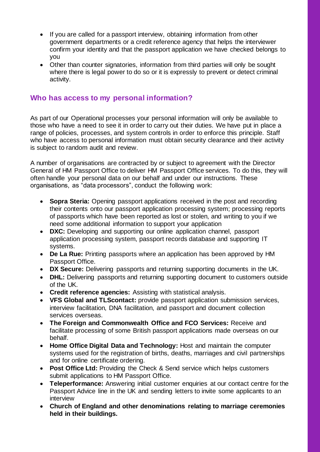- If you are called for a passport interview, obtaining information from other government departments or a credit reference agency that helps the interviewer confirm your identity and that the passport application we have checked belongs to you
- Other than counter signatories, information from third parties will only be sought where there is legal power to do so or it is expressly to prevent or detect criminal activity.

#### <span id="page-7-0"></span>**Who has access to my personal information?**

As part of our Operational processes your personal information will only be available to those who have a need to see it in order to carry out their duties. We have put in place a range of policies, processes, and system controls in order to enforce this principle. Staff who have access to personal information must obtain security clearance and their activity is subject to random audit and review.

A number of organisations are contracted by or subject to agreement with the Director General of HM Passport Office to deliver HM Passport Office services. To do this, they will often handle your personal data on our behalf and under our instructions. These organisations, as "data processors", conduct the following work:

- **Sopra Steria:** Opening passport applications received in the post and recording their contents onto our passport application processing system; processing reports of passports which have been reported as lost or stolen, and writing to you if we need some additional information to support your application
- **DXC:** Developing and supporting our online application channel, passport application processing system, passport records database and supporting IT systems.
- **De La Rue:** Printing passports where an application has been approved by HM Passport Office.
- **DX Secure:** Delivering passports and returning supporting documents in the UK.
- **DHL:** Delivering passports and returning supporting document to customers outside of the UK.
- **Credit reference agencies:** Assisting with statistical analysis.
- **VFS Global and TLScontact:** provide passport application submission services, interview facilitation, DNA facilitation, and passport and document collection services overseas.
- **The Foreign and Commonwealth Office and FCO Services:** Receive and facilitate processing of some British passport applications made overseas on our behalf.
- **Home Office Digital Data and Technology:** Host and maintain the computer systems used for the registration of births, deaths, marriages and civil partnerships and for online certificate ordering.
- **Post Office Ltd:** Providing the Check & Send service which helps customers submit applications to HM Passport Office.
- **Teleperformance:** Answering initial customer enquiries at our contact centre for the Passport Advice line in the UK and sending letters to invite some applicants to an interview
- **Church of England and other denominations relating to marriage ceremonies held in their buildings.**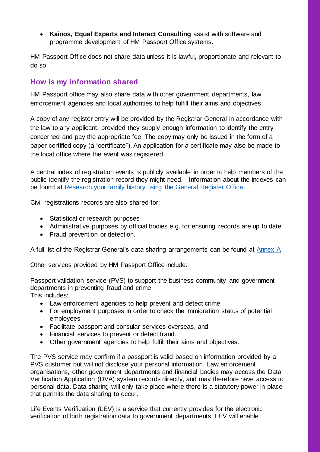**Kainos, Equal Experts and Interact Consulting** assist with software and programme development of HM Passport Office systems.

HM Passport Office does not share data unless it is lawful, proportionate and relevant to do so.

#### <span id="page-8-0"></span>**How is my information shared**

HM Passport office may also share data with other government departments, law enforcement agencies and local authorities to help fulfill their aims and objectives.

A copy of any register entry will be provided by the Registrar General in accordance with the law to any applicant, provided they supply enough information to identify the entry concerned and pay the appropriate fee. The copy may only be issued in the form of a paper certified copy (a "certificate"). An application for a certificate may also be made to the local office where the event was registered.

A central index of registration events is publicly available in order to help members of the public identify the registration record they might need. Information about the indexes can be found at [Research your family history using the General Register Office.](https://www.gov.uk/research-family-history)

Civil registrations records are also shared for:

- Statistical or research purposes
- Administrative purposes by official bodies e.g. for ensuring records are up to date
- Fraud prevention or detection.

A full list of the Registrar General's data sharing arrangements can be found at [Annex](#page-16-0) A

Other services provided by HM Passport Office include:

Passport validation service (PVS) to support the business community and government departments in preventing fraud and crime.

This includes:

- Law enforcement agencies to help prevent and detect crime
- For employment purposes in order to check the immigration status of potential employees
- Facilitate passport and consular services overseas, and
- Financial services to prevent or detect fraud.
- Other government agencies to help fulfill their aims and objectives.

The PVS service may confirm if a passport is valid based on information provided by a PVS customer but will not disclose your personal information. Law enforcement organisations, other government departments and financial bodies may access the Data Verification Application (DVA) system records directly, and may therefore have access to personal data. Data sharing will only take place where there is a statutory power in place that permits the data sharing to occur.

Life Events Verification (LEV) is a service that currently provides for the electronic verification of birth registration data to government departments. LEV will enable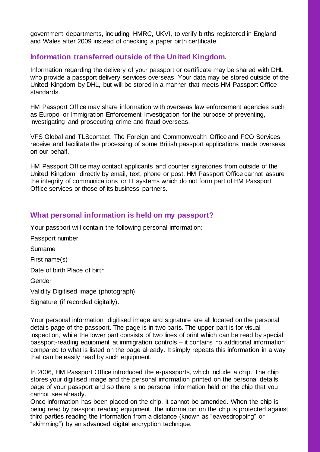government departments, including HMRC, UKVI, to verify births registered in England and Wales after 2009 instead of checking a paper birth certificate.

#### <span id="page-9-0"></span>**Information transferred outside of the United Kingdom.**

Information regarding the delivery of your passport or certificate may be shared with DHL who provide a passport delivery services overseas. Your data may be stored outside of the United Kingdom by DHL, but will be stored in a manner that meets HM Passport Office standards.

HM Passport Office may share information with overseas law enforcement agencies such as Europol or Immigration Enforcement Investigation for the purpose of preventing, investigating and prosecuting crime and fraud overseas.

VFS Global and TLScontact, The Foreign and Commonwealth Office and FCO Services receive and facilitate the processing of some British passport applications made overseas on our behalf.

HM Passport Office may contact applicants and counter signatories from outside of the United Kingdom, directly by email, text, phone or post. HM Passport Office cannot assure the integrity of communications or IT systems which do not form part of HM Passport Office services or those of its business partners.

#### <span id="page-9-1"></span>**What personal information is held on my passport?**

Your passport will contain the following personal information:

Passport number Surname First name(s) Date of birth Place of birth Gender Validity Digitised image (photograph) Signature (if recorded digitally).

Your personal information, digitised image and signature are all located on the personal details page of the passport. The page is in two parts. The upper part is for visual inspection, while the lower part consists of two lines of print which can be read by special passport-reading equipment at immigration controls – it contains no additional information compared to what is listed on the page already. It simply repeats this information in a way that can be easily read by such equipment.

In 2006, HM Passport Office introduced the e-passports, which include a chip. The chip stores your digitised image and the personal information printed on the personal details page of your passport and so there is no personal information held on the chip that you cannot see already.

Once information has been placed on the chip, it cannot be amended. When the chip is being read by passport reading equipment, the information on the chip is protected against third parties reading the information from a distance (known as "eavesdropping" or "skimming") by an advanced digital encryption technique.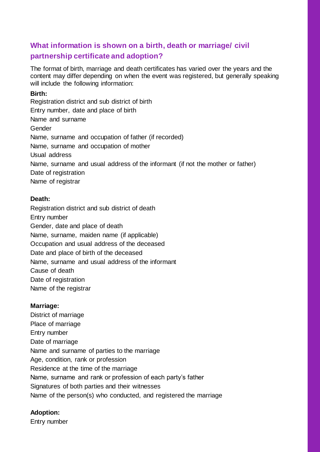## <span id="page-10-0"></span>**What information is shown on a birth, death or marriage/ civil partnership certificate and adoption?**

The format of birth, marriage and death certificates has varied over the years and the content may differ depending on when the event was registered, but generally speaking will include the following information:

#### **Birth:**

Registration district and sub district of birth Entry number, date and place of birth Name and surname Gender Name, surname and occupation of father (if recorded) Name, surname and occupation of mother Usual address Name, surname and usual address of the informant (if not the mother or father) Date of registration Name of registrar

#### **Death:**

Registration district and sub district of death Entry number Gender, date and place of death Name, surname, maiden name (if applicable) Occupation and usual address of the deceased Date and place of birth of the deceased Name, surname and usual address of the informant Cause of death Date of registration Name of the registrar

#### **Marriage:**

District of marriage Place of marriage Entry number Date of marriage Name and surname of parties to the marriage Age, condition, rank or profession Residence at the time of the marriage Name, surname and rank or profession of each party's father Signatures of both parties and their witnesses Name of the person(s) who conducted, and registered the marriage

#### **Adoption:**

Entry number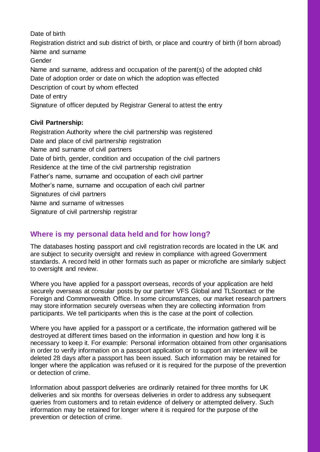Date of birth

Registration district and sub district of birth, or place and country of birth (if born abroad) Name and surname Gender Name and surname, address and occupation of the parent(s) of the adopted child Date of adoption order or date on which the adoption was effected Description of court by whom effected Date of entry Signature of officer deputed by Registrar General to attest the entry

#### **Civil Partnership:**

Registration Authority where the civil partnership was registered Date and place of civil partnership registration Name and surname of civil partners Date of birth, gender, condition and occupation of the civil partners Residence at the time of the civil partnership registration Father's name, surname and occupation of each civil partner Mother's name, surname and occupation of each civil partner Signatures of civil partners Name and surname of witnesses Signature of civil partnership registrar

### <span id="page-11-0"></span>**Where is my personal data held and for how long?**

The databases hosting passport and civil registration records are located in the UK and are subject to security oversight and review in compliance with agreed Government standards. A record held in other formats such as paper or microfiche are similarly subject to oversight and review.

Where you have applied for a passport overseas, records of your application are held securely overseas at consular posts by our partner VFS Global and TLScontact or the Foreign and Commonwealth Office. In some circumstances, our market research partners may store information securely overseas when they are collecting information from participants. We tell participants when this is the case at the point of collection.

Where you have applied for a passport or a certificate, the information gathered will be destroyed at different times based on the information in question and how long it is necessary to keep it. For example: Personal information obtained from other organisations in order to verify information on a passport application or to support an interview will be deleted 28 days after a passport has been issued. Such information may be retained for longer where the application was refused or it is required for the purpose of the prevention or detection of crime.

Information about passport deliveries are ordinarily retained for three months for UK deliveries and six months for overseas deliveries in order to address any subsequent queries from customers and to retain evidence of delivery or attempted delivery. Such information may be retained for longer where it is required for the purpose of the prevention or detection of crime.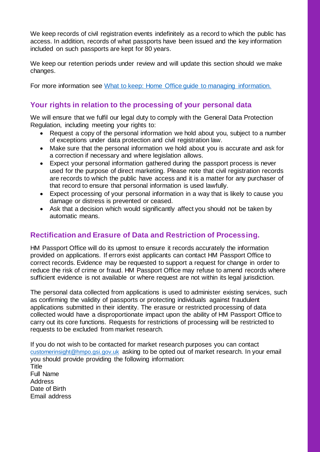We keep records of civil registration events indefinitely as a record to which the public has access. In addition, records of what passports have been issued and the key information included on such passports are kept for 80 years.

We keep our retention periods under review and will update this section should we make changes.

For more information see [What to keep: Home Office guide to managing information.](https://www.gov.uk/government/publications/home-office-retention-and-disposal-standards/what-to-keep-home-office-guide-to-managing-information)

#### <span id="page-12-1"></span>**Your rights in relation to the processing of your personal data**

We will ensure that we fulfil our legal duty to comply with the General Data Protection Regulation, including meeting your rights to:

- Request a copy of the personal information we hold about you, subject to a number of exceptions under data protection and civil registration law.
- Make sure that the personal information we hold about you is accurate and ask for a correction if necessary and where legislation allows.
- Expect your personal information gathered during the passport process is never used for the purpose of direct marketing. Please note that civil registration records are records to which the public have access and it is a matter for any purchaser of that record to ensure that personal information is used lawfully.
- Expect processing of your personal information in a way that is likely to cause you damage or distress is prevented or ceased.
- Ask that a decision which would significantly affect you should not be taken by automatic means.

#### <span id="page-12-0"></span>**Rectification and Erasure of Data and Restriction of Processing.**

HM Passport Office will do its upmost to ensure it records accurately the information provided on applications. If errors exist applicants can contact HM Passport Office to correct records. Evidence may be requested to support a request for change in order to reduce the risk of crime or fraud. HM Passport Office may refuse to amend records where sufficient evidence is not available or where request are not within its legal jurisdiction.

The personal data collected from applications is used to administer existing services, such as confirming the validity of passports or protecting individuals against fraudulent applications submitted in their identity. The erasure or restricted processing of data collected would have a disproportionate impact upon the ability of HM Passport Office to carry out its core functions. Requests for restrictions of processing will be restricted to requests to be excluded from market research.

If you do not wish to be contacted for market research purposes you can contact [customerinsight@hmpo.gsi.gov.uk](mailto:customerinsight@hmpo.gsi.gov.uk) asking to be opted out of market research. In your email you should provide providing the following information: Title Full Name Address Date of Birth Email address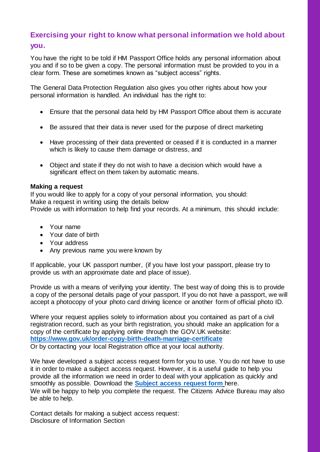## <span id="page-13-0"></span>**Exercising your right to know what personal information we hold about**

#### **you.**

You have the right to be told if HM Passport Office holds any personal information about you and if so to be given a copy. The personal information must be provided to you in a clear form. These are sometimes known as "subject access" rights.

The General Data Protection Regulation also gives you other rights about how your personal information is handled. An individual has the right to:

- Ensure that the personal data held by HM Passport Office about them is accurate
- Be assured that their data is never used for the purpose of direct marketing
- Have processing of their data prevented or ceased if it is conducted in a manner which is likely to cause them damage or distress, and
- Object and state if they do not wish to have a decision which would have a significant effect on them taken by automatic means.

#### **Making a request**

If you would like to apply for a copy of your personal information, you should: Make a request in writing using the details below Provide us with information to help find your records. At a minimum, this should include:

- Your name
- Your date of birth
- Your address
- Any previous name you were known by

If applicable, your UK passport number, (if you have lost your passport, please try to provide us with an approximate date and place of issue).

Provide us with a means of verifying your identity. The best way of doing this is to provide a copy of the personal details page of your passport. If you do not have a passport, we will accept a photocopy of your photo card driving licence or another form of official photo ID.

Where your request applies solely to information about you contained as part of a civil registration record, such as your birth registration, you should make an application for a copy of the certificate by applying online through the GOV.UK website: **<https://www.gov.uk/order-copy-birth-death-marriage-certificate>** Or by contacting your local Registration office at your local authority.

We have developed a subject access request form for you to use. You do not have to use it in order to make a subject access request. However, it is a useful guide to help you provide all the information we need in order to deal with your application as quickly and smoothly as possible. Download the **[Subject access request form](https://www.gov.uk/government/publications/subject-access-request-form)** here. We will be happy to help you complete the request. The Citizens Advice Bureau may also be able to help.

Contact details for making a subject access request: Disclosure of Information Section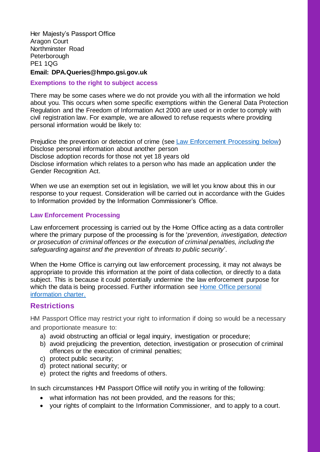Her Majesty's Passport Office Aragon Court Northminster Road **Peterborough** PE1 1QG

#### **Email: DPA.Queries@hmpo.gsi.gov.uk**

#### <span id="page-14-1"></span>**Exemptions to the right to subject access**

There may be some cases where we do not provide you with all the information we hold about you. This occurs when some specific exemptions within the General Data Protection Regulation and the Freedom of Information Act 2000 are used or in order to comply with civil registration law. For example, we are allowed to refuse requests where providing personal information would be likely to:

Prejudice the prevention or detection of crime (see [Law Enforcement Processing below\)](#page-14-0) Disclose personal information about another person Disclose adoption records for those not yet 18 years old Disclose information which relates to a person who has made an application under the Gender Recognition Act.

When we use an exemption set out in legislation, we will let you know about this in our response to your request. Consideration will be carried out in accordance with the Guides to Information provided by the Information Commissioner's Office.

#### <span id="page-14-0"></span>**Law Enforcement Processing**

Law enforcement processing is carried out by the Home Office acting as a data controller where the primary purpose of the processing is for the '*prevention, investigation, detection or prosecution of criminal offences or the execution of criminal penalties, including the safeguarding against and the prevention of threats to public security*'.

When the Home Office is carrying out law enforcement processing, it may not always be appropriate to provide this information at the point of data collection, or directly to a data subject. This is because it could potentially undermine the law enforcement purpose for which the data is being processed. Further information see Home Office personal [information charter.](https://www.gov.uk/government/organisations/home-office/about/personal-information-charter)

#### <span id="page-14-2"></span>**Restrictions**

HM Passport Office may restrict your right to information if doing so would be a necessary and proportionate measure to:

- a) avoid obstructing an official or legal inquiry, investigation or procedure;
- b) avoid prejudicing the prevention, detection, investigation or prosecution of criminal offences or the execution of criminal penalties;
- c) protect public security;
- d) protect national security; or
- e) protect the rights and freedoms of others.

In such circumstances HM Passport Office will notify you in writing of the following:

- what information has not been provided, and the reasons for this;
- your rights of complaint to the Information Commissioner, and to apply to a court.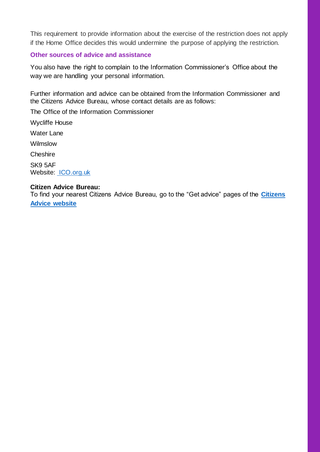This requirement to provide information about the exercise of the restriction does not apply if the Home Office decides this would undermine the purpose of applying the restriction.

#### <span id="page-15-0"></span>**Other sources of advice and assistance**

You also have the right to complain to the Information Commissioner's Office about the way we are handling your personal information.

Further information and advice can be obtained from the Information Commissioner and the Citizens Advice Bureau, whose contact details are as follows:

The Office of the Information Commissioner

Wycliffe House

Water Lane

Wilmslow

**Cheshire** 

SK9 5AF Website: [ICO.org.uk](https://ico.org.uk/)

#### **Citizen Advice Bureau:**

To find your nearest Citizens Advice Bureau, go to the "Get advice" pages of the **[Citizens](https://www.citizensadvice.org.uk/)  [Advice website](https://www.citizensadvice.org.uk/)**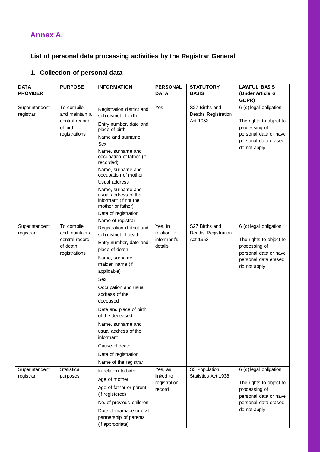## <span id="page-16-0"></span>**Annex A.**

## **List of personal data processing activities by the Registrar General**

#### **1. Collection of personal data**

| <b>DATA</b>     | <b>PURPOSE</b>             | <b>INFORMATION</b>                                                                      | <b>PERSONAL</b>           | <b>STATUTORY</b>    | <b>LAWFUL BASIS</b>                      |
|-----------------|----------------------------|-----------------------------------------------------------------------------------------|---------------------------|---------------------|------------------------------------------|
| <b>PROVIDER</b> |                            |                                                                                         | <b>DATA</b>               | <b>BASIS</b>        | (Under Article 6                         |
|                 |                            |                                                                                         |                           |                     | GDPR)                                    |
| Superintendent  | To compile                 | Registration district and                                                               | Yes                       | S27 Births and      | 6 (c) legal obligation                   |
| registrar       | and maintain a             | sub district of birth                                                                   |                           | Deaths Registration |                                          |
|                 | central record<br>of birth | Entry number, date and                                                                  |                           | Act 1953            | The rights to object to<br>processing of |
|                 | registrations              | place of birth                                                                          |                           |                     | personal data or have                    |
|                 |                            | Name and surname                                                                        |                           |                     | personal data erased                     |
|                 |                            | Sex                                                                                     |                           |                     | do not apply                             |
|                 |                            | Name, surname and<br>occupation of father (if<br>recorded)                              |                           |                     |                                          |
|                 |                            | Name, surname and<br>occupation of mother                                               |                           |                     |                                          |
|                 |                            | Usual address                                                                           |                           |                     |                                          |
|                 |                            | Name, surname and<br>usual address of the<br>informant (if not the<br>mother or father) |                           |                     |                                          |
|                 |                            | Date of registration                                                                    |                           |                     |                                          |
|                 |                            | Name of registrar                                                                       |                           |                     |                                          |
| Superintendent  | To compile                 | Registration district and                                                               | Yes, in                   | S27 Births and      | 6 (c) legal obligation                   |
| registrar       | and maintain a             | sub district of death                                                                   | relation to               | Deaths Registration |                                          |
|                 | central record<br>of death | Entry number, date and                                                                  | informant's<br>details    | Act 1953            | The rights to object to<br>processing of |
|                 | registrations              | place of death                                                                          |                           |                     | personal data or have                    |
|                 |                            | Name, surname,                                                                          |                           |                     | personal data erased                     |
|                 |                            | maiden name (if<br>applicable)                                                          |                           |                     | do not apply                             |
|                 |                            | Sex                                                                                     |                           |                     |                                          |
|                 |                            | Occupation and usual<br>address of the<br>deceased                                      |                           |                     |                                          |
|                 |                            | Date and place of birth                                                                 |                           |                     |                                          |
|                 |                            | of the deceased                                                                         |                           |                     |                                          |
|                 |                            | Name, surname and                                                                       |                           |                     |                                          |
|                 |                            | usual address of the<br>informant                                                       |                           |                     |                                          |
|                 |                            | Cause of death                                                                          |                           |                     |                                          |
|                 |                            | Date of registration                                                                    |                           |                     |                                          |
|                 |                            | Name of the registrar                                                                   |                           |                     |                                          |
| Superintendent  | Statistical                | In relation to birth:                                                                   | Yes, as                   | S3 Population       | 6 (c) legal obligation                   |
| registrar       | purposes                   | Age of mother                                                                           | linked to<br>registration | Statistics Act 1938 | The rights to object to                  |
|                 |                            | Age of father or parent<br>(if registered)                                              | record                    |                     | processing of<br>personal data or have   |
|                 |                            | No. of previous children                                                                |                           |                     | personal data erased                     |
|                 |                            | Date of marriage or civil                                                               |                           |                     | do not apply                             |
|                 |                            | partnership of parents                                                                  |                           |                     |                                          |
|                 |                            | (if appropriate)                                                                        |                           |                     |                                          |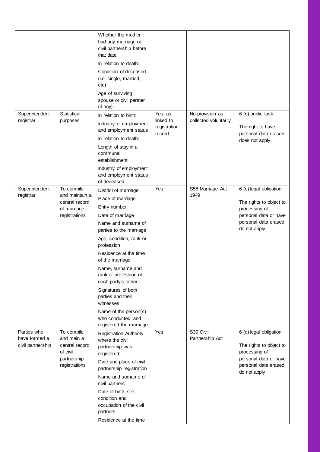|                                                   |                                                                                        | Whether the mother<br>had any marriage or<br>civil partnership before<br>that date<br>In relation to death:<br>Condition of deceased<br>(i.e. single, married,<br>etc)<br>Age of surviving<br>spouse or civil partner<br>(if any)                                                                                                                                                                                           |                                                |                                          |                                                                                                                                     |
|---------------------------------------------------|----------------------------------------------------------------------------------------|-----------------------------------------------------------------------------------------------------------------------------------------------------------------------------------------------------------------------------------------------------------------------------------------------------------------------------------------------------------------------------------------------------------------------------|------------------------------------------------|------------------------------------------|-------------------------------------------------------------------------------------------------------------------------------------|
| Superintendent<br>registrar                       | Statistical<br>purposes                                                                | In relation to birth:<br>Industry of employment<br>and employment status<br>In relation to death:<br>Length of stay in a<br>communal<br>establishment<br>Industry of employment<br>and employment status<br>of deceased                                                                                                                                                                                                     | Yes, as<br>linked to<br>registration<br>record | No provision as<br>collected voluntarily | 6 (e) public task<br>The right to have<br>personal data erased<br>does not apply                                                    |
| Superintendent<br>registrar                       | To compile<br>and maintain a<br>central record<br>of marriage<br>registrations         | District of marriage<br>Place of marriage<br>Entry number<br>Date of marriage<br>Name and surname of<br>parties to the marriage<br>Age, condition, rank or<br>profession<br>Residence at the time<br>of the marriage<br>Name, surname and<br>rank or profession of<br>each party's father<br>Signatures of both<br>parties and their<br>witnesses<br>Name of the person(s)<br>who conducted, and<br>registered the marriage | Yes                                            | S58 Marriage Act<br>1949                 | 6 (c) legal obligation<br>The rights to object to<br>processing of<br>personal data or have<br>personal data erased<br>do not apply |
| Parties who<br>have formed a<br>civil partnership | To compile<br>and main a<br>central record<br>of civil<br>partnership<br>registrations | <b>Registration Authority</b><br>where the civil<br>partnership was<br>registered<br>Date and place of civil<br>partnership registration<br>Name and surname of<br>civil partners<br>Date of birth, sex,<br>condition and<br>occupation of the civil<br>partners<br>Residence at the time                                                                                                                                   | Yes                                            | S30 Civil<br>Partnership Act             | 6 (c) legal obligation<br>The rights to object to<br>processing of<br>personal data or have<br>personal data erased<br>do not apply |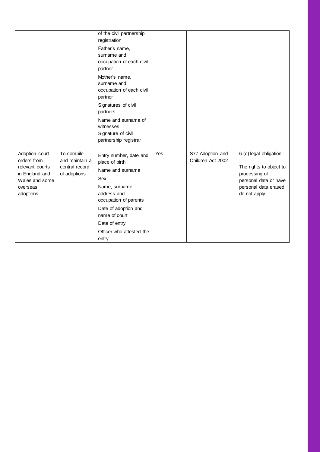|                                                                                                               |                                                                | of the civil partnership<br>registration<br>Father's name,<br>surname and<br>occupation of each civil<br>partner<br>Mother's name,<br>surname and<br>occupation of each civil<br>partner<br>Signatures of civil<br>partners<br>Name and surname of<br>witnesses<br>Signature of civil<br>partnership registrar |     |                                       |                                                                                                                                     |
|---------------------------------------------------------------------------------------------------------------|----------------------------------------------------------------|----------------------------------------------------------------------------------------------------------------------------------------------------------------------------------------------------------------------------------------------------------------------------------------------------------------|-----|---------------------------------------|-------------------------------------------------------------------------------------------------------------------------------------|
| Adoption court<br>orders from<br>relevant courts<br>in England and<br>Wales and some<br>overseas<br>adoptions | To compile<br>and maintain a<br>central record<br>of adoptions | Entry number, date and<br>place of birth<br>Name and surname<br>Sex<br>Name, surname<br>address and<br>occupation of parents<br>Date of adoption and<br>name of court<br>Date of entry<br>Officer who attested the<br>entry                                                                                    | Yes | S77 Adoption and<br>Children Act 2002 | 6 (c) legal obligation<br>The rights to object to<br>processing of<br>personal data or have<br>personal data erased<br>do not apply |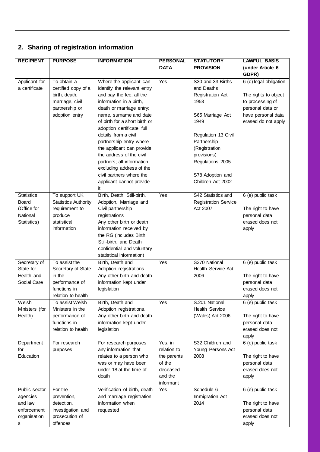## **2. Sharing of registration information**

| <b>RECIPIENT</b>  | <b>PURPOSE</b>              | <b>INFORMATION</b>            | <b>PERSONAL</b> | <b>STATUTORY</b>            | <b>LAWFUL BASIS</b>    |
|-------------------|-----------------------------|-------------------------------|-----------------|-----------------------------|------------------------|
|                   |                             |                               | <b>DATA</b>     | <b>PROVISION</b>            | (under Article 6       |
|                   |                             |                               |                 |                             | GDPR)                  |
| Applicant for     | To obtain a                 | Where the applicant can       | Yes             | S30 and 33 Births           | 6 (c) legal obligation |
| a certificate     | certified copy of a         | identify the relevant entry   |                 | and Deaths                  |                        |
|                   | birth, death,               | and pay the fee, all the      |                 | Registration Act            | The rights to object   |
|                   | marriage, civil             | information in a birth,       |                 | 1953                        | to processing of       |
|                   | partnership or              | death or marriage entry;      |                 |                             | personal data or       |
|                   | adoption entry              | name, surname and date        |                 |                             |                        |
|                   |                             | of birth for a short birth or |                 | S65 Marriage Act<br>1949    | have personal data     |
|                   |                             |                               |                 |                             | erased do not apply    |
|                   |                             | adoption certificate; full    |                 |                             |                        |
|                   |                             | details from a civil          |                 | Regulation 13 Civil         |                        |
|                   |                             | partnership entry where       |                 | Partnership                 |                        |
|                   |                             | the applicant can provide     |                 | (Registration               |                        |
|                   |                             | the address of the civil      |                 | provisions)                 |                        |
|                   |                             | partners; all information     |                 | Regulations 2005            |                        |
|                   |                             | excluding address of the      |                 |                             |                        |
|                   |                             | civil partners where the      |                 | S78 Adoption and            |                        |
|                   |                             | applicant cannot provide      |                 | Children Act 2002           |                        |
|                   |                             | it.                           |                 |                             |                        |
| <b>Statistics</b> | To support UK               | Birth, Death, Still-birth,    | Yes             | S42 Statistics and          | 6 (e) public task      |
| Board             | <b>Statistics Authority</b> | Adoption, Marriage and        |                 | <b>Registration Service</b> |                        |
| (Office for       | requirement to              | Civil partnership             |                 | Act 2007                    | The right to have      |
| National          | produce                     | registrations                 |                 |                             | personal data          |
| Statistics)       | statistical                 | Any other birth or death      |                 |                             | erased does not        |
|                   | information                 | information received by       |                 |                             | apply                  |
|                   |                             | the RG (includes Birth,       |                 |                             |                        |
|                   |                             | Still-birth, and Death        |                 |                             |                        |
|                   |                             | confidential and voluntary    |                 |                             |                        |
|                   |                             | statistical information)      |                 |                             |                        |
| Secretary of      | To assist the               | Birth, Death and              | Yes             | S270 National               | 6 (e) public task      |
| State for         | Secretary of State          | Adoption registrations.       |                 | Health Service Act          |                        |
| Health and        | in the                      | Any other birth and death     |                 | 2006                        | The right to have      |
| Social Care       | performance of              | information kept under        |                 |                             | personal data          |
|                   | functions in                | legislation                   |                 |                             | erased does not        |
|                   | relation to health          |                               |                 |                             | apply                  |
| Welsh             | To assist Welsh             | Birth, Death and              | Yes             | S.201 National              | 6 (e) public task      |
| Ministers (for    | Ministers in the            | Adoption registrations.       |                 | <b>Health Service</b>       |                        |
| Health)           | performance of              | Any other birth and death     |                 | (Wales) Act 2006            | The right to have      |
|                   | functions in                | information kept under        |                 |                             | personal data          |
|                   | relation to health          | legislation                   |                 |                             | erased does not        |
|                   |                             |                               |                 |                             | apply                  |
| Department        | For research                | For research purposes         | Yes, in         | S32 Children and            | 6 (e) public task      |
| for               | purposes                    | any information that          | relation to     | Young Persons Act           |                        |
| Education         |                             | relates to a person who       | the parents     | 2008                        | The right to have      |
|                   |                             | was or may have been          | of the          |                             | personal data          |
|                   |                             | under 18 at the time of       | deceased        |                             | erased does not        |
|                   |                             | death                         | and the         |                             | apply                  |
|                   |                             |                               | informant       |                             |                        |
| Public sector     | For the                     | Verification of birth, death  | Yes             | Schedule 6                  | 6 (e) public task      |
| agencies          | prevention,                 | and marriage registration     |                 | Immigration Act             |                        |
| and law           | detection,                  | information when              |                 | 2014                        | The right to have      |
| enforcement       | investigation and           | requested                     |                 |                             | personal data          |
| organisation      | prosecution of              |                               |                 |                             | erased does not        |
| s                 | offences                    |                               |                 |                             | apply                  |